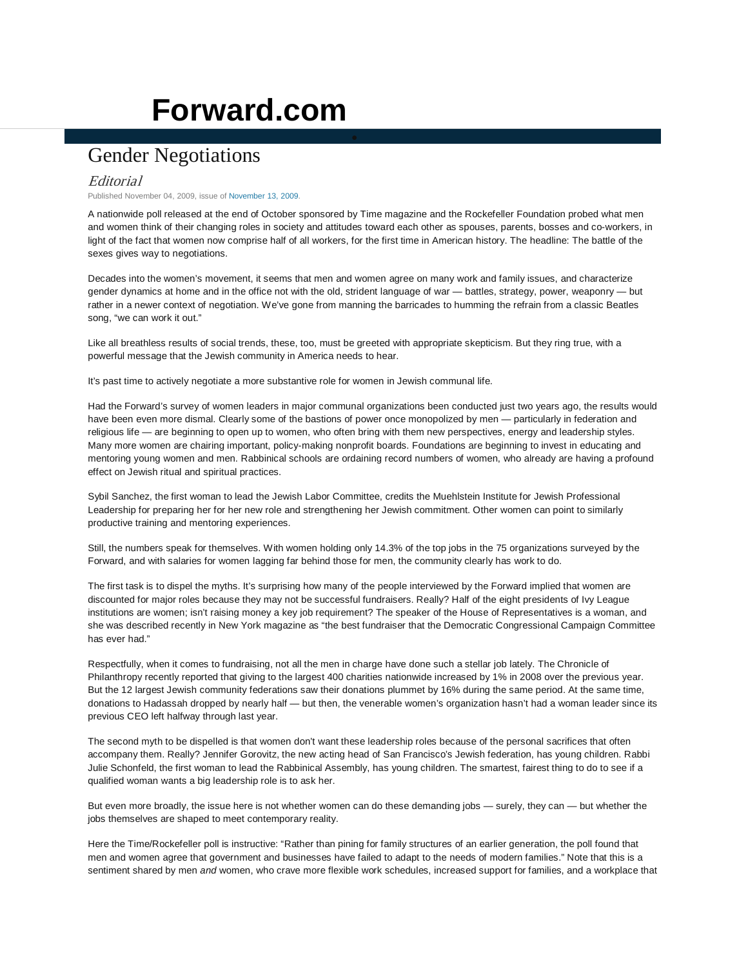## **[Forward.com](http://www.forward.com/)**

## Gender Negotiations

## Editorial

Published November 04, 2009, issue o[f November 13, 2009.](http://www.forward.com/issues/2009-11-13/)

A nationwide poll released at the end of October sponsored by Time magazine and the Rockefeller Foundation probed what men and women think of their changing roles in society and attitudes toward each other as spouses, parents, bosses and co-workers, in light of the fact that women now comprise half of all workers, for the first time in American history. The headline: The battle of the sexes gives way to negotiations.

Decades into the women's movement, it seems that men and women agree on many work and family issues, and characterize gender dynamics at home and in the office not with the old, strident language of war — battles, strategy, power, weaponry — but rather in a newer context of negotiation. We've gone from manning the barricades to humming the refrain from a classic Beatles song, "we can work it out."

Like all breathless results of social trends, these, too, must be greeted with appropriate skepticism. But they ring true, with a powerful message that the Jewish community in America needs to hear.

It's past time to actively negotiate a more substantive role for women in Jewish communal life.

Had the Forward's survey of women leaders in major communal organizations been conducted just two years ago, the results would have been even more dismal. Clearly some of the bastions of power once monopolized by men — particularly in federation and religious life — are beginning to open up to women, who often bring with them new perspectives, energy and leadership styles. Many more women are chairing important, policy-making nonprofit boards. Foundations are beginning to invest in educating and mentoring young women and men. Rabbinical schools are ordaining record numbers of women, who already are having a profound effect on Jewish ritual and spiritual practices.

Sybil Sanchez, the first woman to lead the Jewish Labor Committee, credits the Muehlstein Institute for Jewish Professional Leadership for preparing her for her new role and strengthening her Jewish commitment. Other women can point to similarly productive training and mentoring experiences.

Still, the numbers speak for themselves. With women holding only 14.3% of the top jobs in the 75 organizations surveyed by the Forward, and with salaries for women lagging far behind those for men, the community clearly has work to do.

The first task is to dispel the myths. It's surprising how many of the people interviewed by the Forward implied that women are discounted for major roles because they may not be successful fundraisers. Really? Half of the eight presidents of Ivy League institutions are women; isn't raising money a key job requirement? The speaker of the House of Representatives is a woman, and she was described recently in New York magazine as "the best fundraiser that the Democratic Congressional Campaign Committee has ever had."

Respectfully, when it comes to fundraising, not all the men in charge have done such a stellar job lately. The Chronicle of Philanthropy recently reported that giving to the largest 400 charities nationwide increased by 1% in 2008 over the previous year. But the 12 largest Jewish community federations saw their donations plummet by 16% during the same period. At the same time, donations to Hadassah dropped by nearly half — but then, the venerable women's organization hasn't had a woman leader since its previous CEO left halfway through last year.

The second myth to be dispelled is that women don't want these leadership roles because of the personal sacrifices that often accompany them. Really? Jennifer Gorovitz, the new acting head of San Francisco's Jewish federation, has young children. Rabbi Julie Schonfeld, the first woman to lead the Rabbinical Assembly, has young children. The smartest, fairest thing to do to see if a qualified woman wants a big leadership role is to ask her.

But even more broadly, the issue here is not whether women can do these demanding jobs — surely, they can — but whether the jobs themselves are shaped to meet contemporary reality.

Here the Time/Rockefeller poll is instructive: "Rather than pining for family structures of an earlier generation, the poll found that men and women agree that government and businesses have failed to adapt to the needs of modern families." Note that this is a sentiment shared by men *and* women, who crave more flexible work schedules, increased support for families, and a workplace that